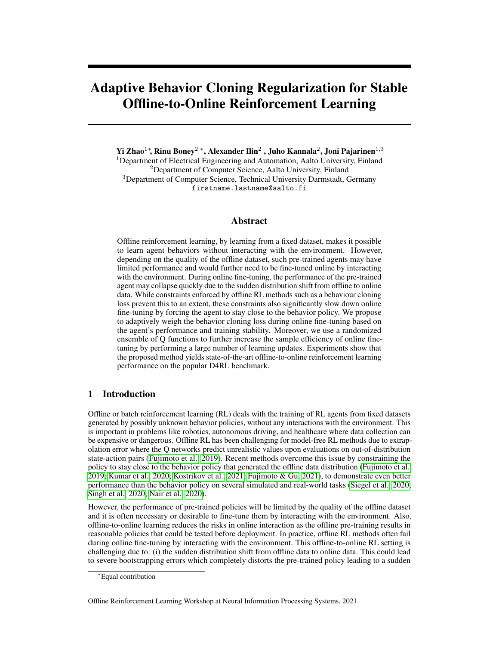# Adaptive Behavior Cloning Regularization for Stable Offline-to-Online Reinforcement Learning

Yi Zhao $^{1*}$ , Rinu Boney $^{2}$  \*, Alexander Ilin $^{2}$  , Juho Kannala $^{2}$ , Joni Pajarinen $^{1,3}$ 

<sup>1</sup>Department of Electrical Engineering and Automation, Aalto University, Finland <sup>2</sup>Department of Computer Science, Aalto University, Finland <sup>3</sup>Department of Computer Science, Technical University Darmstadt, Germany firstname.lastname@aalto.fi

# Abstract

Offline reinforcement learning, by learning from a fixed dataset, makes it possible to learn agent behaviors without interacting with the environment. However, depending on the quality of the offline dataset, such pre-trained agents may have limited performance and would further need to be fine-tuned online by interacting with the environment. During online fine-tuning, the performance of the pre-trained agent may collapse quickly due to the sudden distribution shift from offline to online data. While constraints enforced by offline RL methods such as a behaviour cloning loss prevent this to an extent, these constraints also significantly slow down online fine-tuning by forcing the agent to stay close to the behavior policy. We propose to adaptively weigh the behavior cloning loss during online fine-tuning based on the agent's performance and training stability. Moreover, we use a randomized ensemble of Q functions to further increase the sample efficiency of online finetuning by performing a large number of learning updates. Experiments show that the proposed method yields state-of-the-art offline-to-online reinforcement learning performance on the popular D4RL benchmark.

# 1 Introduction

Offline or batch reinforcement learning (RL) deals with the training of RL agents from fixed datasets generated by possibly unknown behavior policies, without any interactions with the environment. This is important in problems like robotics, autonomous driving, and healthcare where data collection can be expensive or dangerous. Offline RL has been challenging for model-free RL methods due to extrapolation error where the Q networks predict unrealistic values upon evaluations on out-of-distribution state-action pairs [\(Fujimoto et al., 2019\)](#page-10-0). Recent methods overcome this issue by constraining the policy to stay close to the behavior policy that generated the offline data distribution [\(Fujimoto et al.,](#page-10-0) [2019;](#page-10-0) [Kumar et al., 2020;](#page-11-0) [Kostrikov et al., 2021;](#page-11-1) [Fujimoto & Gu, 2021\)](#page-10-1), to demonstrate even better performance than the behavior policy on several simulated and real-world tasks [\(Siegel et al., 2020;](#page-11-2) [Singh et al., 2020;](#page-12-0) [Nair et al., 2020\)](#page-11-3).

However, the performance of pre-trained policies will be limited by the quality of the offline dataset and it is often necessary or desirable to fine-tune them by interacting with the environment. Also, offline-to-online learning reduces the risks in online interaction as the offline pre-training results in reasonable policies that could be tested before deployment. In practice, offline RL methods often fail during online fine-tuning by interacting with the environment. This offline-to-online RL setting is challenging due to: (i) the sudden distribution shift from offline data to online data. This could lead to severe bootstrapping errors which completely distorts the pre-trained policy leading to a sudden

<sup>∗</sup>Equal contribution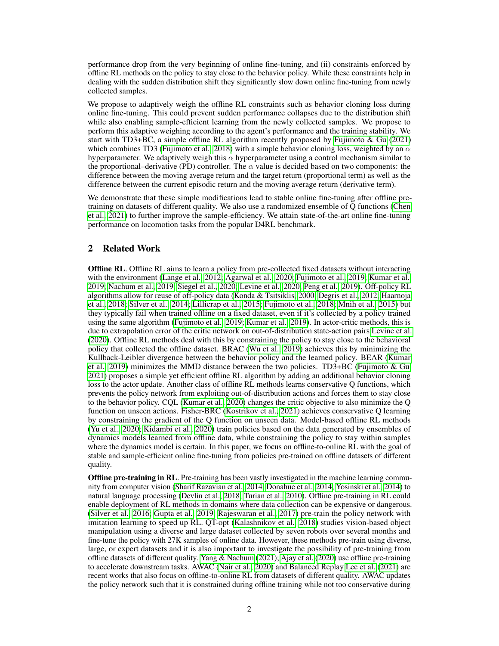performance drop from the very beginning of online fine-tuning, and (ii) constraints enforced by offline RL methods on the policy to stay close to the behavior policy. While these constraints help in dealing with the sudden distribution shift they significantly slow down online fine-tuning from newly collected samples.

We propose to adaptively weigh the offline RL constraints such as behavior cloning loss during online fine-tuning. This could prevent sudden performance collapses due to the distribution shift while also enabling sample-efficient learning from the newly collected samples. We propose to perform this adaptive weighing according to the agent's performance and the training stability. We start with TD3+BC, a simple offline RL algorithm recently proposed by Fujimoto  $\&$  Gu [\(2021\)](#page-10-1) which combines TD3 [\(Fujimoto et al., 2018\)](#page-10-2) with a simple behavior cloning loss, weighted by an  $\alpha$ hyperparameter. We adaptively weigh this  $\alpha$  hyperparameter using a control mechanism similar to the proportional–derivative (PD) controller. The  $\alpha$  value is decided based on two components: the difference between the moving average return and the target return (proportional term) as well as the difference between the current episodic return and the moving average return (derivative term).

We demonstrate that these simple modifications lead to stable online fine-tuning after offline pretraining on datasets of different quality. We also use a randomized ensemble of Q functions [\(Chen](#page-10-3) [et al., 2021\)](#page-10-3) to further improve the sample-efficiency. We attain state-of-the-art online fine-tuning performance on locomotion tasks from the popular D4RL benchmark.

# 2 Related Work

Offline RL. Offline RL aims to learn a policy from pre-collected fixed datasets without interacting with the environment [\(Lange et al., 2012;](#page-11-4) [Agarwal et al., 2020;](#page-9-0) [Fujimoto et al., 2019;](#page-10-0) [Kumar et al.,](#page-11-5) [2019;](#page-11-5) [Nachum et al., 2019;](#page-11-6) [Siegel et al., 2020;](#page-11-2) [Levine et al., 2020;](#page-11-7) [Peng et al., 2019\)](#page-11-8). Off-policy RL algorithms allow for reuse of off-policy data [\(Konda & Tsitsiklis, 2000;](#page-11-9) [Degris et al., 2012;](#page-10-4) [Haarnoja](#page-10-5) [et al., 2018;](#page-10-5) [Silver et al., 2014;](#page-11-10) [Lillicrap et al., 2015;](#page-11-11) [Fujimoto et al., 2018;](#page-10-2) [Mnih et al., 2015\)](#page-11-12) but they typically fail when trained offline on a fixed dataset, even if it's collected by a policy trained using the same algorithm [\(Fujimoto et al., 2019;](#page-10-0) [Kumar et al., 2019\)](#page-11-5). In actor-critic methods, this is due to extrapolation error of the critic network on out-of-distribution state-action pairs [Levine et al.](#page-11-7) [\(2020\)](#page-11-7). Offline RL methods deal with this by constraining the policy to stay close to the behavioral policy that collected the offline dataset. BRAC [\(Wu et al., 2019\)](#page-12-1) achieves this by minimizing the Kullback-Leibler divergence between the behavior policy and the learned policy. BEAR [\(Kumar](#page-11-5) [et al., 2019\)](#page-11-5) minimizes the MMD distance between the two policies. TD3+BC (Fujimoto  $\&$  Gu, [2021\)](#page-10-1) proposes a simple yet efficient offline RL algorithm by adding an additional behavior cloning loss to the actor update. Another class of offline RL methods learns conservative Q functions, which prevents the policy network from exploiting out-of-distribution actions and forces them to stay close to the behavior policy. CQL [\(Kumar et al., 2020\)](#page-11-0) changes the critic objective to also minimize the Q function on unseen actions. Fisher-BRC [\(Kostrikov et al., 2021\)](#page-11-1) achieves conservative Q learning by constraining the gradient of the Q function on unseen data. Model-based offline RL methods [\(Yu et al., 2020;](#page-12-2) [Kidambi et al., 2020\)](#page-10-6) train policies based on the data generated by ensembles of dynamics models learned from offline data, while constraining the policy to stay within samples where the dynamics model is certain. In this paper, we focus on offline-to-online RL with the goal of stable and sample-efficient online fine-tuning from policies pre-trained on offline datasets of different quality.

**Offline pre-training in RL.** Pre-training has been vastly investigated in the machine learning community from computer vision [\(Sharif Razavian et al., 2014;](#page-11-13) [Donahue et al., 2014;](#page-10-7) [Yosinski et al., 2014\)](#page-12-3) to natural language processing [\(Devlin et al., 2018;](#page-10-8) [Turian et al., 2010\)](#page-12-4). Offline pre-training in RL could enable deployment of RL methods in domains where data collection can be expensive or dangerous. [\(Silver et al., 2016;](#page-12-5) [Gupta et al., 2019;](#page-10-9) [Rajeswaran et al., 2017\)](#page-11-14) pre-train the policy network with imitation learning to speed up RL. QT-opt [\(Kalashnikov et al., 2018\)](#page-10-10) studies vision-based object manipulation using a diverse and large dataset collected by seven robots over several months and fine-tune the policy with 27K samples of online data. However, these methods pre-train using diverse, large, or expert datasets and it is also important to investigate the possibility of pre-training from offline datasets of different quality. [Yang & Nachum](#page-12-6) [\(2021\)](#page-12-6); [Ajay et al.](#page-9-1) [\(2020\)](#page-9-1) use offline pre-training to accelerate downstream tasks. AWAC [\(Nair et al., 2020\)](#page-11-3) and Balanced Replay [Lee et al.](#page-11-15) [\(2021\)](#page-11-15) are recent works that also focus on offline-to-online RL from datasets of different quality. AWAC updates the policy network such that it is constrained during offline training while not too conservative during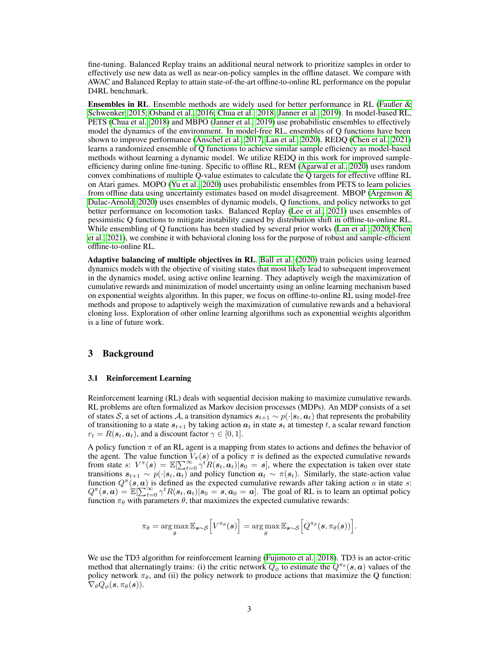fine-tuning. Balanced Replay trains an additional neural network to prioritize samples in order to effectively use new data as well as near-on-policy samples in the offline dataset. We compare with AWAC and Balanced Replay to attain state-of-the-art offline-to-online RL performance on the popular D4RL benchmark.

Ensembles in RL. Ensemble methods are widely used for better performance in RL [\(Faußer &](#page-10-11) [Schwenker, 2015;](#page-10-11) [Osband et al., 2016;](#page-11-16) [Chua et al., 2018;](#page-10-12) [Janner et al., 2019\)](#page-10-13). In model-based RL, PETS [\(Chua et al., 2018\)](#page-10-12) and MBPO [\(Janner et al., 2019\)](#page-10-13) use probabilistic ensembles to effectively model the dynamics of the environment. In model-free RL, ensembles of Q functions have been shown to improve performance [\(Anschel et al., 2017;](#page-10-14) [Lan et al., 2020\)](#page-11-17). REDQ [\(Chen et al., 2021\)](#page-10-3) learns a randomized ensemble of Q functions to achieve similar sample efficiency as model-based methods without learning a dynamic model. We utilize REDQ in this work for improved sampleefficiency during online fine-tuning. Specific to offline RL, REM [\(Agarwal et al., 2020\)](#page-9-0) uses random convex combinations of multiple Q-value estimates to calculate the Q targets for effective offline RL on Atari games. MOPO [\(Yu et al., 2020\)](#page-12-2) uses probabilistic ensembles from PETS to learn policies from offline data using uncertainty estimates based on model disagreement. MBOP [\(Argenson &](#page-10-15) [Dulac-Arnold, 2020\)](#page-10-15) uses ensembles of dynamic models, Q functions, and policy networks to get better performance on locomotion tasks. Balanced Replay [\(Lee et al., 2021\)](#page-11-15) uses ensembles of pessimistic Q functions to mitigate instability caused by distribution shift in offline-to-online RL. While ensembling of Q functions has been studied by several prior works [\(Lan et al., 2020;](#page-11-17) [Chen](#page-10-3) [et al., 2021\)](#page-10-3), we combine it with behavioral cloning loss for the purpose of robust and sample-efficient offline-to-online RL.

Adaptive balancing of multiple objectives in RL. [Ball et al.](#page-10-16) [\(2020\)](#page-10-16) train policies using learned dynamics models with the objective of visiting states that most likely lead to subsequent improvement in the dynamics model, using active online learning. They adaptively weigh the maximization of cumulative rewards and minimization of model uncertainty using an online learning mechanism based on exponential weights algorithm. In this paper, we focus on offline-to-online RL using model-free methods and propose to adaptively weigh the maximization of cumulative rewards and a behavioral cloning loss. Exploration of other online learning algorithms such as exponential weights algorithm is a line of future work.

# 3 Background

## 3.1 Reinforcement Learning

Reinforcement learning (RL) deals with sequential decision making to maximize cumulative rewards. RL problems are often formalized as Markov decision processes (MDPs). An MDP consists of a set of states S, a set of actions A, a transition dynamics  $s_{t+1} \sim p(\cdot|s_t, a_t)$  that represents the probability of transitioning to a state  $s_{t+1}$  by taking action  $a_t$  in state  $s_t$  at timestep t, a scalar reward function  $r_t = R(\boldsymbol{s}_t, \boldsymbol{a}_t)$ , and a discount factor  $\gamma \in [0, 1]$ .

A policy function  $\pi$  of an RL agent is a mapping from states to actions and defines the behavior of the agent. The value function  $V_\pi(s)$  of a policy  $\pi$  is defined as the expected cumulative rewards from state s:  $V^{\pi}(s) = \mathbb{E}[\sum_{t=0}^{\infty} \gamma^{t} R(s_t, a_t) | s_0 = s]$ , where the expectation is taken over state transitions  $s_{t+1} \sim p(\cdot | s_t, a_t)$  and policy function  $a_t \sim \pi(s_t)$ . Similarly, the state-action value function  $Q^{\pi}(s, a)$  is defined as the expected cumulative rewards after taking action a in state s:  $Q^{\pi}(s, a) = \mathbb{E}[\sum_{t=0}^{\infty} \gamma^t R(s_t, a_t) | s_0 = s, a_0 = a]$ . The goal of RL is to learn an optimal policy function  $\pi_{\theta}$  with parameters  $\theta$ , that maximizes the expected cumulative rewards:

$$
\pi_{\theta} = \argmax_{\theta} \mathbb{E}_{\boldsymbol{s} \sim \mathcal{S}} \Big[ V^{\pi_{\theta}}(\boldsymbol{s}) \Big] = \argmax_{\theta} \mathbb{E}_{\boldsymbol{s} \sim \mathcal{S}} \Big[ Q^{\pi_{\theta}}(\boldsymbol{s}, \pi_{\theta}(\boldsymbol{s})) \Big].
$$

We use the TD3 algorithm for reinforcement learning [\(Fujimoto et al., 2018\)](#page-10-2). TD3 is an actor-critic method that alternatingly trains: (i) the critic network  $Q_{\phi}$  to estimate the  $Q^{\pi_{\theta}}(s, a)$  values of the policy network  $\pi_{\theta}$ , and (ii) the policy network to produce actions that maximize the Q function:  $\nabla_{\theta} Q_{\phi}(\mathbf{s}, \pi_{\theta}(\mathbf{s})).$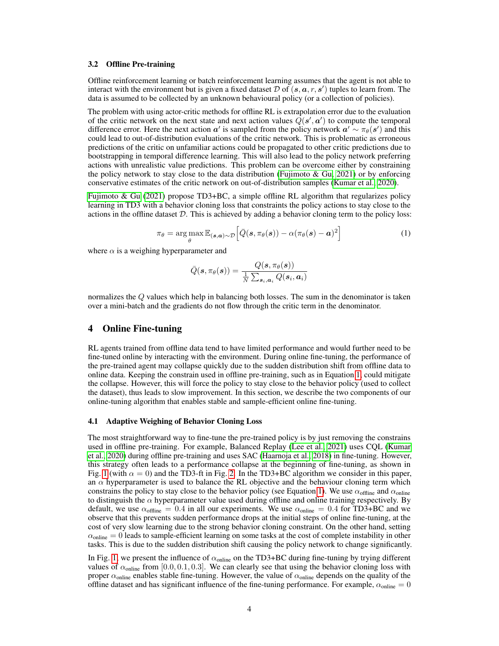#### 3.2 Offline Pre-training

Offline reinforcement learning or batch reinforcement learning assumes that the agent is not able to interact with the environment but is given a fixed dataset  $D$  of  $(s, a, r, s')$  tuples to learn from. The data is assumed to be collected by an unknown behavioural policy (or a collection of policies).

The problem with using actor-critic methods for offline RL is extrapolation error due to the evaluation of the critic network on the next state and next action values  $\hat{Q}(\mathbf{s}', \mathbf{a}')$  to compute the temporal difference error. Here the next action  $a'$  is sampled from the policy network  $a' \sim \pi_{\theta}(s')$  and this could lead to out-of-distribution evaluations of the critic network. This is problematic as erroneous predictions of the critic on unfamiliar actions could be propagated to other critic predictions due to bootstrapping in temporal difference learning. This will also lead to the policy network preferring actions with unrealistic value predictions. This problem can be overcome either by constraining the policy network to stay close to the data distribution (Fujimoto  $\&$  Gu, 2021) or by enforcing conservative estimates of the critic network on out-of-distribution samples [\(Kumar et al., 2020\)](#page-11-0).

<span id="page-3-0"></span>[Fujimoto & Gu](#page-10-1) [\(2021\)](#page-10-1) propose TD3+BC, a simple offline RL algorithm that regularizes policy learning in TD3 with a behavior cloning loss that constraints the policy actions to stay close to the actions in the offline dataset  $D$ . This is achieved by adding a behavior cloning term to the policy loss:

$$
\pi_{\theta} = \arg \max_{\theta} \mathbb{E}_{(\mathbf{s}, \mathbf{a}) \sim \mathcal{D}} \left[ \bar{Q}(\mathbf{s}, \pi_{\theta}(\mathbf{s})) - \alpha (\pi_{\theta}(\mathbf{s}) - \mathbf{a})^2 \right]
$$
(1)

where  $\alpha$  is a weighing hyperparameter and

$$
\bar{Q}(\bm{s},\pi_{\theta}(\bm{s})) = \frac{Q(\bm{s},\pi_{\theta}(\bm{s}))}{\frac{1}{N}\sum_{\bm{s}_i,\bm{a}_i}Q(\bm{s}_i,\bm{a}_i)}
$$

normalizes the Q values which help in balancing both losses. The sum in the denominator is taken over a mini-batch and the gradients do not flow through the critic term in the denominator.

## 4 Online Fine-tuning

RL agents trained from offline data tend to have limited performance and would further need to be fine-tuned online by interacting with the environment. During online fine-tuning, the performance of the pre-trained agent may collapse quickly due to the sudden distribution shift from offline data to online data. Keeping the constrain used in offline pre-training, such as in Equation [1,](#page-3-0) could mitigate the collapse. However, this will force the policy to stay close to the behavior policy (used to collect the dataset), thus leads to slow improvement. In this section, we describe the two components of our online-tuning algorithm that enables stable and sample-efficient online fine-tuning.

## 4.1 Adaptive Weighing of Behavior Cloning Loss

The most straightforward way to fine-tune the pre-trained policy is by just removing the constrains used in offline pre-training. For example, Balanced Replay [\(Lee et al., 2021\)](#page-11-15) uses CQL [\(Kumar](#page-11-0) [et al., 2020\)](#page-11-0) during offline pre-training and uses SAC [\(Haarnoja et al., 2018\)](#page-10-5) in fine-tuning. However, this strategy often leads to a performance collapse at the beginning of fine-tuning, as shown in Fig. [1](#page-4-0) (with  $\alpha = 0$ ) and the TD3-ft in Fig. [2.](#page-6-0) In the TD3+BC algorithm we consider in this paper, an  $\alpha$  hyperparameter is used to balance the RL objective and the behaviour cloning term which constrains the policy to stay close to the behavior policy (see Equation [1\)](#page-3-0). We use  $\alpha_{\text{offline}}$  and  $\alpha_{\text{online}}$ to distinguish the  $\alpha$  hyperparameter value used during offline and online training respectively. By default, we use  $\alpha_{\text{offline}} = 0.4$  in all our experiments. We use  $\alpha_{\text{online}} = 0.4$  for TD3+BC and we observe that this prevents sudden performance drops at the initial steps of online fine-tuning, at the cost of very slow learning due to the strong behavior cloning constraint. On the other hand, setting  $\alpha_{\text{online}} = 0$  leads to sample-efficient learning on some tasks at the cost of complete instability in other tasks. This is due to the sudden distribution shift causing the policy network to change significantly.

In Fig. [1,](#page-4-0) we present the influence of  $\alpha_{\text{online}}$  on the TD3+BC during fine-tuning by trying different values of  $\alpha_{\text{online}}$  from [0.0, 0.1, 0.3]. We can clearly see that using the behavior cloning loss with proper  $\alpha_{\text{online}}$  enables stable fine-tuning. However, the value of  $\alpha_{\text{online}}$  depends on the quality of the offline dataset and has significant influence of the fine-tuning performance. For example,  $\alpha_{\text{online}} = 0$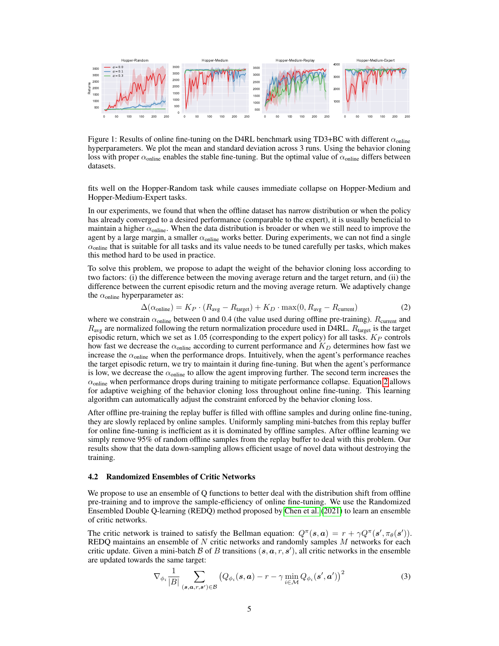

<span id="page-4-0"></span>Figure 1: Results of online fine-tuning on the D4RL benchmark using TD3+BC with different  $\alpha_{\text{online}}$ hyperparameters. We plot the mean and standard deviation across 3 runs. Using the behavior cloning loss with proper  $\alpha_{\text{online}}$  enables the stable fine-tuning. But the optimal value of  $\alpha_{\text{online}}$  differs between datasets.

fits well on the Hopper-Random task while causes immediate collapse on Hopper-Medium and Hopper-Medium-Expert tasks.

In our experiments, we found that when the offline dataset has narrow distribution or when the policy has already converged to a desired performance (comparable to the expert), it is usually beneficial to maintain a higher  $\alpha_{\text{online}}$ . When the data distribution is broader or when we still need to improve the agent by a large margin, a smaller  $\alpha_{\text{online}}$  works better. During experiments, we can not find a single  $\alpha_{\text{online}}$  that is suitable for all tasks and its value needs to be tuned carefully per tasks, which makes this method hard to be used in practice.

To solve this problem, we propose to adapt the weight of the behavior cloning loss according to two factors: (i) the difference between the moving average return and the target return, and (ii) the difference between the current episodic return and the moving average return. We adaptively change the  $\alpha$ <sub>online</sub> hyperparameter as:

<span id="page-4-1"></span>
$$
\Delta(\alpha_{\text{online}}) = K_P \cdot (R_{\text{avg}} - R_{\text{target}}) + K_D \cdot \max(0, R_{\text{avg}} - R_{\text{current}}) \tag{2}
$$

where we constrain  $\alpha_{\text{online}}$  between 0 and 0.4 (the value used during offline pre-training).  $R_{\text{current}}$  and  $R_{\text{avg}}$  are normalized following the return normalization procedure used in D4RL.  $R_{\text{target}}$  is the target episodic return, which we set as 1.05 (corresponding to the expert policy) for all tasks.  $K_P$  controls how fast we decrease the  $\alpha_{\text{online}}$  according to current performance and  $K_D$  determines how fast we increase the  $\alpha$ <sub>online</sub> when the performance drops. Intuitively, when the agent's performance reaches the target episodic return, we try to maintain it during fine-tuning. But when the agent's performance is low, we decrease the  $\alpha_{\text{online}}$  to allow the agent improving further. The second term increases the  $\alpha_{\text{online}}$  when performance drops during training to mitigate performance collapse. Equation [2](#page-4-1) allows for adaptive weighing of the behavior cloning loss throughout online fine-tuning. This learning algorithm can automatically adjust the constraint enforced by the behavior cloning loss.

After offline pre-training the replay buffer is filled with offline samples and during online fine-tuning, they are slowly replaced by online samples. Uniformly sampling mini-batches from this replay buffer for online fine-tuning is inefficient as it is dominated by offline samples. After offline learning we simply remove 95% of random offline samples from the replay buffer to deal with this problem. Our results show that the data down-sampling allows efficient usage of novel data without destroying the training.

#### 4.2 Randomized Ensembles of Critic Networks

We propose to use an ensemble of O functions to better deal with the distribution shift from offline pre-training and to improve the sample-efficiency of online fine-tuning. We use the Randomized Ensembled Double Q-learning (REDQ) method proposed by [Chen et al.](#page-10-3) [\(2021\)](#page-10-3) to learn an ensemble of critic networks.

The critic network is trained to satisfy the Bellman equation:  $Q^{\pi}(s, a) = r + \gamma Q^{\pi}(s', \pi_{\theta}(s'))$ . REDQ maintains an ensemble of  $N$  critic networks and randomly samples  $M$  networks for each critic update. Given a mini-batch B of B transitions  $(s, a, r, s')$ , all critic networks in the ensemble are updated towards the same target:

<span id="page-4-2"></span>
$$
\nabla_{\phi_i} \frac{1}{|B|} \sum_{(\mathbf{s}, \mathbf{a}, r, \mathbf{s}') \in \mathcal{B}} \left( Q_{\phi_i}(\mathbf{s}, \mathbf{a}) - r - \gamma \min_{i \in \mathcal{M}} Q_{\phi_i}(\mathbf{s}', \mathbf{a}') \right)^2 \tag{3}
$$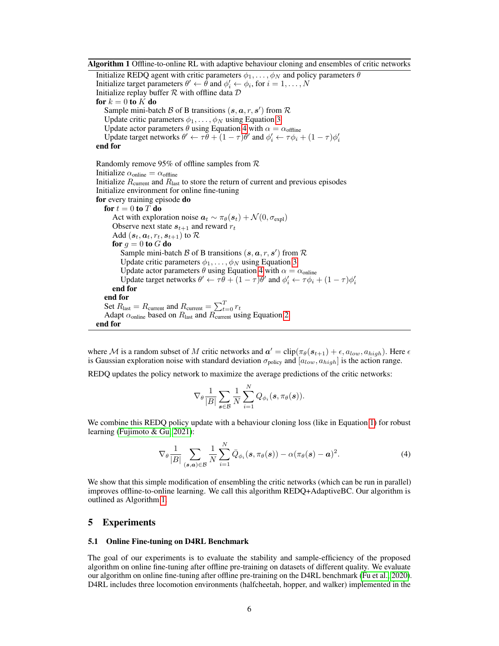Algorithm 1 Offline-to-online RL with adaptive behaviour cloning and ensembles of critic networks

<span id="page-5-1"></span>Initialize REDQ agent with critic parameters  $\phi_1, \dots, \phi_N$  and policy parameters  $\theta$ Initialize target parameters  $\theta' \leftarrow \hat{\theta}$  and  $\phi'_i \leftarrow \phi_i$ , for  $i = 1, ..., N$ Initialize replay buffer  $R$  with offline data  $D$ for  $k = 0$  to  $K$  do Sample mini-batch  $\beta$  of B transitions  $(s, a, r, s')$  from  $\mathcal R$ Update critic parameters  $\phi_1, \ldots, \phi_N$  using Equation [3](#page-4-2) Update actor parameters  $\theta$  using Equation [4](#page-5-0) with  $\alpha = \alpha_{\text{offline}}$ Update target networks  $\theta' \leftarrow \tau \bar{\theta} + (1 - \tau)\theta'$  and  $\phi'_i \leftarrow \tau \phi_i + (1 - \tau)\phi'_i$ end for Randomly remove 95% of offline samples from R Initialize  $\alpha_{\text{online}} = \alpha_{\text{offline}}$ Initialize  $R_{\text{current}}$  and  $R_{\text{last}}$  to store the return of current and previous episodes Initialize environment for online fine-tuning for every training episode do for  $t = 0$  to T do Act with exploration noise  $a_t \sim \pi_\theta(s_t) + \mathcal{N}(0, \sigma_{\text{expl}})$ Observe next state  $s_{t+1}$  and reward  $r_t$ Add  $(\boldsymbol{s}_t, \boldsymbol{a}_t, r_t, \boldsymbol{s}_{t+1})$  to  $\mathcal R$ for  $g = 0$  to  $G$  do Sample mini-batch  $\beta$  of B transitions  $(s, a, r, s')$  from  $\mathcal R$ Update critic parameters  $\phi_1, \ldots, \phi_N$  using Equation [3](#page-4-2) Update actor parameters  $\theta$  using Equation [4](#page-5-0) with  $\alpha = \alpha_{\text{online}}$ Update target networks  $\theta' \leftarrow \tau \bar{\theta} + (1 - \tau)\theta'$  and  $\phi'_i \leftarrow \tau \phi_i + (1 - \tau)\phi'_i$ end for end for Set  $R_{\text{last}} = R_{\text{current}}$  and  $R_{\text{current}} = \sum_{t=0}^{T} r_t$ Adapt  $\alpha$ <sub>online</sub> based on  $R_{\text{last}}$  and  $R_{\text{current}}$  using Equation [2](#page-4-1) end for

where M is a random subset of M critic networks and  $a' = \text{clip}(\pi_{\theta}(s_{t+1}) + \epsilon, a_{low}, a_{high})$ . Here  $\epsilon$ is Gaussian exploration noise with standard deviation  $\sigma_{\text{policy}}$  and  $[a_{low}, a_{high}]$  is the action range.

REDQ updates the policy network to maximize the average predictions of the critic networks:

<span id="page-5-0"></span>
$$
\nabla_{\theta} \frac{1}{|B|} \sum_{\boldsymbol{s} \in \mathcal{B}} \frac{1}{N} \sum_{i=1}^N Q_{\phi_i}(\boldsymbol{s}, \pi_{\theta}(\boldsymbol{s})).
$$

We combine this REDO policy update with a behaviour cloning loss (like in Equation [1\)](#page-3-0) for robust learning [\(Fujimoto & Gu, 2021\)](#page-10-1):

$$
\nabla_{\theta} \frac{1}{|B|} \sum_{(\mathbf{s}, \mathbf{a}) \in \mathcal{B}} \frac{1}{N} \sum_{i=1}^{N} \bar{Q}_{\phi_i}(\mathbf{s}, \pi_{\theta}(\mathbf{s})) - \alpha (\pi_{\theta}(\mathbf{s}) - \mathbf{a})^2.
$$
 (4)

We show that this simple modification of ensembling the critic networks (which can be run in parallel) improves offline-to-online learning. We call this algorithm REDQ+AdaptiveBC. Our algorithm is outlined as Algorithm [1.](#page-5-1)

## 5 Experiments

## 5.1 Online Fine-tuning on D4RL Benchmark

The goal of our experiments is to evaluate the stability and sample-efficiency of the proposed algorithm on online fine-tuning after offline pre-training on datasets of different quality. We evaluate our algorithm on online fine-tuning after offline pre-training on the D4RL benchmark [\(Fu et al., 2020\)](#page-10-17). D4RL includes three locomotion environments (halfcheetah, hopper, and walker) implemented in the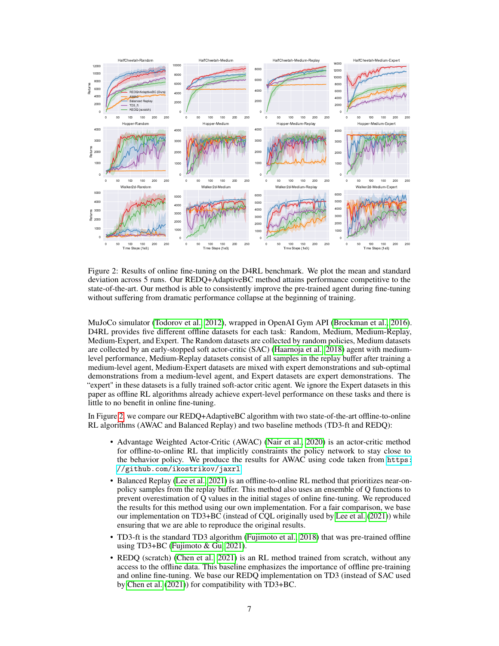

<span id="page-6-0"></span>Figure 2: Results of online fine-tuning on the D4RL benchmark. We plot the mean and standard deviation across 5 runs. Our REDQ+AdaptiveBC method attains performance competitive to the state-of-the-art. Our method is able to consistently improve the pre-trained agent during fine-tuning without suffering from dramatic performance collapse at the beginning of training.

MuJoCo simulator [\(Todorov et al., 2012\)](#page-12-7), wrapped in OpenAI Gym API [\(Brockman et al., 2016\)](#page-10-18). D4RL provides five different offline datasets for each task: Random, Medium, Medium-Replay, Medium-Expert, and Expert. The Random datasets are collected by random policies, Medium datasets are collected by an early-stopped soft actor-critic (SAC) [\(Haarnoja et al., 2018\)](#page-10-5) agent with mediumlevel performance, Medium-Replay datasets consist of all samples in the replay buffer after training a medium-level agent, Medium-Expert datasets are mixed with expert demonstrations and sub-optimal demonstrations from a medium-level agent, and Expert datasets are expert demonstrations. The "expert" in these datasets is a fully trained soft-actor critic agent. We ignore the Expert datasets in this paper as offline RL algorithms already achieve expert-level performance on these tasks and there is little to no benefit in online fine-tuning.

In Figure [2,](#page-6-0) we compare our REDQ+AdaptiveBC algorithm with two state-of-the-art offline-to-online RL algorithms (AWAC and Balanced Replay) and two baseline methods (TD3-ft and REDQ):

- Advantage Weighted Actor-Critic (AWAC) [\(Nair et al., 2020\)](#page-11-3) is an actor-critic method for offline-to-online RL that implicitly constraints the policy network to stay close to the behavior policy. We produce the results for AWAC using code taken from [https:](https://github.com/ikostrikov/jaxrl) [//github.com/ikostrikov/jaxrl](https://github.com/ikostrikov/jaxrl).
- Balanced Replay [\(Lee et al., 2021\)](#page-11-15) is an offline-to-online RL method that prioritizes near-onpolicy samples from the replay buffer. This method also uses an ensemble of Q functions to prevent overestimation of Q values in the initial stages of online fine-tuning. We reproduced the results for this method using our own implementation. For a fair comparison, we base our implementation on TD3+BC (instead of CQL originally used by [Lee et al.](#page-11-15) [\(2021\)](#page-11-15)) while ensuring that we are able to reproduce the original results.
- TD3-ft is the standard TD3 algorithm [\(Fujimoto et al., 2018\)](#page-10-2) that was pre-trained offline using TD3+BC [\(Fujimoto & Gu, 2021\)](#page-10-1).
- REDO (scratch) [\(Chen et al., 2021\)](#page-10-3) is an RL method trained from scratch, without any access to the offline data. This baseline emphasizes the importance of offline pre-training and online fine-tuning. We base our REDQ implementation on TD3 (instead of SAC used by [Chen et al.](#page-10-3) [\(2021\)](#page-10-3)) for compatibility with TD3+BC.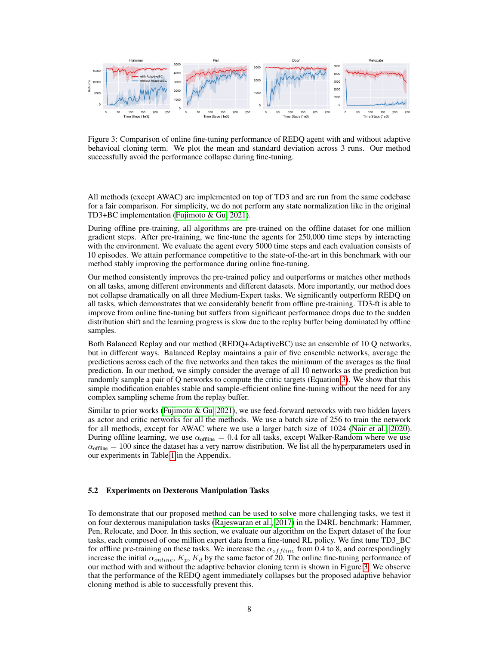

<span id="page-7-0"></span>Figure 3: Comparison of online fine-tuning performance of REDQ agent with and without adaptive behavioal cloning term. We plot the mean and standard deviation across 3 runs. Our method successfully avoid the performance collapse during fine-tuning.

All methods (except AWAC) are implemented on top of TD3 and are run from the same codebase for a fair comparison. For simplicity, we do not perform any state normalization like in the original TD3+BC implementation [\(Fujimoto & Gu, 2021\)](#page-10-1).

During offline pre-training, all algorithms are pre-trained on the offline dataset for one million gradient steps. After pre-training, we fine-tune the agents for 250,000 time steps by interacting with the environment. We evaluate the agent every 5000 time steps and each evaluation consists of 10 episodes. We attain performance competitive to the state-of-the-art in this benchmark with our method stably improving the performance during online fine-tuning.

Our method consistently improves the pre-trained policy and outperforms or matches other methods on all tasks, among different environments and different datasets. More importantly, our method does not collapse dramatically on all three Medium-Expert tasks. We significantly outperform REDQ on all tasks, which demonstrates that we considerably benefit from offline pre-training. TD3-ft is able to improve from online fine-tuning but suffers from significant performance drops due to the sudden distribution shift and the learning progress is slow due to the replay buffer being dominated by offline samples.

Both Balanced Replay and our method (REDQ+AdaptiveBC) use an ensemble of 10 Q networks, but in different ways. Balanced Replay maintains a pair of five ensemble networks, average the predictions across each of the five networks and then takes the minimum of the averages as the final prediction. In our method, we simply consider the average of all 10 networks as the prediction but randomly sample a pair of Q networks to compute the critic targets (Equation [3\)](#page-4-2). We show that this simple modification enables stable and sample-efficient online fine-tuning without the need for any complex sampling scheme from the replay buffer.

Similar to prior works [\(Fujimoto & Gu, 2021\)](#page-10-1), we use feed-forward networks with two hidden layers as actor and critic networks for all the methods. We use a batch size of 256 to train the network for all methods, except for AWAC where we use a larger batch size of 1024 [\(Nair et al., 2020\)](#page-11-3). During offline learning, we use  $\alpha_{\text{offline}} = 0.4$  for all tasks, except Walker-Random where we use  $\alpha_{\text{offline}} = 100$  since the dataset has a very narrow distribution. We list all the hyperparameters used in our experiments in Table [1](#page-13-0) in the Appendix.

## 5.2 Experiments on Dexterous Manipulation Tasks

To demonstrate that our proposed method can be used to solve more challenging tasks, we test it on four dexterous manipulation tasks [\(Rajeswaran et al., 2017\)](#page-11-14) in the D4RL benchmark: Hammer, Pen, Relocate, and Door. In this section, we evaluate our algorithm on the Expert dataset of the four tasks, each composed of one million expert data from a fine-tuned RL policy. We first tune TD3\_BC for offline pre-training on these tasks. We increase the  $\alpha_{offline}$  from 0.4 to 8, and correspondingly increase the initial  $\alpha_{online}$ ,  $K_p$ ,  $K_d$  by the same factor of 20. The online fine-tuning performance of our method with and without the adaptive behavior cloning term is shown in Figure [3.](#page-7-0) We observe that the performance of the REDQ agent immediately collapses but the proposed adaptive behavior cloning method is able to successfully prevent this.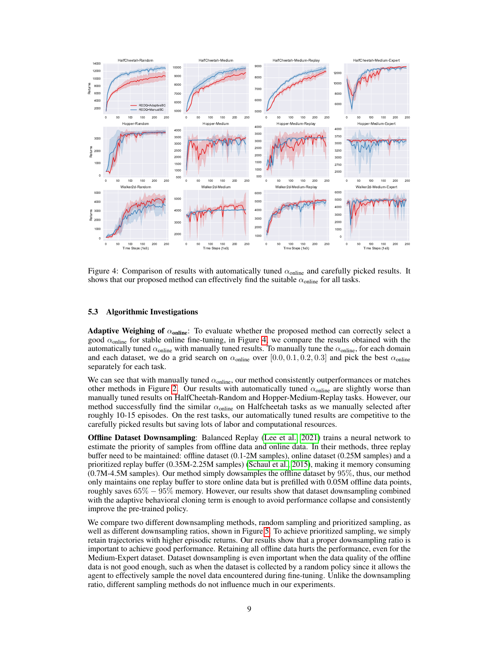

<span id="page-8-0"></span>Figure 4: Comparison of results with automatically tuned  $\alpha_{\text{online}}$  and carefully picked results. It shows that our proposed method can effectively find the suitable  $\alpha_{\text{online}}$  for all tasks.

## 5.3 Algorithmic Investigations

**Adaptive Weighing of**  $\alpha_{\text{online}}$ : To evaluate whether the proposed method can correctly select a good  $\alpha_{\text{online}}$  for stable online fine-tuning, in Figure [4,](#page-8-0) we compare the results obtained with the automatically tuned  $\alpha_{\text{online}}$  with manually tuned results. To manually tune the  $\alpha_{\text{online}}$ , for each domain and each dataset, we do a grid search on  $\alpha_{\text{online}}$  over [0.0, 0.1, 0.2, 0.3] and pick the best  $\alpha_{\text{online}}$ separately for each task.

We can see that with manually tuned  $\alpha_{\text{online}}$ , our method consistently outperformances or matches other methods in Figure [2.](#page-6-0) Our results with automatically tuned  $\alpha_{\text{online}}$  are slightly worse than manually tuned results on HalfCheetah-Random and Hopper-Medium-Replay tasks. However, our method successfully find the similar  $\alpha_{\text{online}}$  on Halfcheetah tasks as we manually selected after roughly 10-15 episodes. On the rest tasks, our automatically tuned results are competitive to the carefully picked results but saving lots of labor and computational resources.

Offline Dataset Downsampling: Balanced Replay [\(Lee et al., 2021\)](#page-11-15) trains a neural network to estimate the priority of samples from offline data and online data. In their methods, three replay buffer need to be maintained: offline dataset (0.1-2M samples), online dataset (0.25M samples) and a prioritized replay buffer (0.35M-2.25M samples) [\(Schaul et al., 2015\)](#page-11-18), making it memory consuming (0.7M-4.5M samples). Our method simply dowsamples the offline dataset by 95%, thus, our method only maintains one replay buffer to store online data but is prefilled with 0.05M offline data points, roughly saves  $65\% - 95\%$  memory. However, our results show that dataset downsampling combined with the adaptive behavioral cloning term is enough to avoid performance collapse and consistently improve the pre-trained policy.

We compare two different downsampling methods, random sampling and prioritized sampling, as well as different downsampling ratios, shown in Figure [5.](#page-9-2) To achieve prioritized sampling, we simply retain trajectories with higher episodic returns. Our results show that a proper downsampling ratio is important to achieve good performance. Retaining all offline data hurts the performance, even for the Medium-Expert dataset. Dataset downsampling is even important when the data quality of the offline data is not good enough, such as when the dataset is collected by a random policy since it allows the agent to effectively sample the novel data encountered during fine-tuning. Unlike the downsampling ratio, different sampling methods do not influence much in our experiments.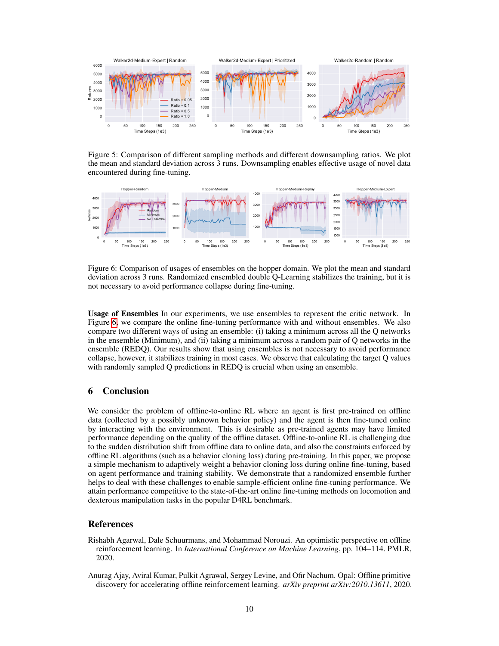

<span id="page-9-2"></span>Figure 5: Comparison of different sampling methods and different downsampling ratios. We plot the mean and standard deviation across 3 runs. Downsampling enables effective usage of novel data encountered during fine-tuning.



<span id="page-9-3"></span>Figure 6: Comparison of usages of ensembles on the hopper domain. We plot the mean and standard deviation across 3 runs. Randomized ensembled double Q-Learning stabilizes the training, but it is not necessary to avoid performance collapse during fine-tuning.

Usage of Ensembles In our experiments, we use ensembles to represent the critic network. In Figure [6,](#page-9-3) we compare the online fine-tuning performance with and without ensembles. We also compare two different ways of using an ensemble: (i) taking a minimum across all the Q networks in the ensemble (Minimum), and (ii) taking a minimum across a random pair of Q networks in the ensemble (REDQ). Our results show that using ensembles is not necessary to avoid performance collapse, however, it stabilizes training in most cases. We observe that calculating the target Q values with randomly sampled Q predictions in REDQ is crucial when using an ensemble.

# 6 Conclusion

We consider the problem of offline-to-online RL where an agent is first pre-trained on offline data (collected by a possibly unknown behavior policy) and the agent is then fine-tuned online by interacting with the environment. This is desirable as pre-trained agents may have limited performance depending on the quality of the offline dataset. Offline-to-online RL is challenging due to the sudden distribution shift from offline data to online data, and also the constraints enforced by offline RL algorithms (such as a behavior cloning loss) during pre-training. In this paper, we propose a simple mechanism to adaptively weight a behavior cloning loss during online fine-tuning, based on agent performance and training stability. We demonstrate that a randomized ensemble further helps to deal with these challenges to enable sample-efficient online fine-tuning performance. We attain performance competitive to the state-of-the-art online fine-tuning methods on locomotion and dexterous manipulation tasks in the popular D4RL benchmark.

# References

- <span id="page-9-0"></span>Rishabh Agarwal, Dale Schuurmans, and Mohammad Norouzi. An optimistic perspective on offline reinforcement learning. In *International Conference on Machine Learning*, pp. 104–114. PMLR, 2020.
- <span id="page-9-1"></span>Anurag Ajay, Aviral Kumar, Pulkit Agrawal, Sergey Levine, and Ofir Nachum. Opal: Offline primitive discovery for accelerating offline reinforcement learning. *arXiv preprint arXiv:2010.13611*, 2020.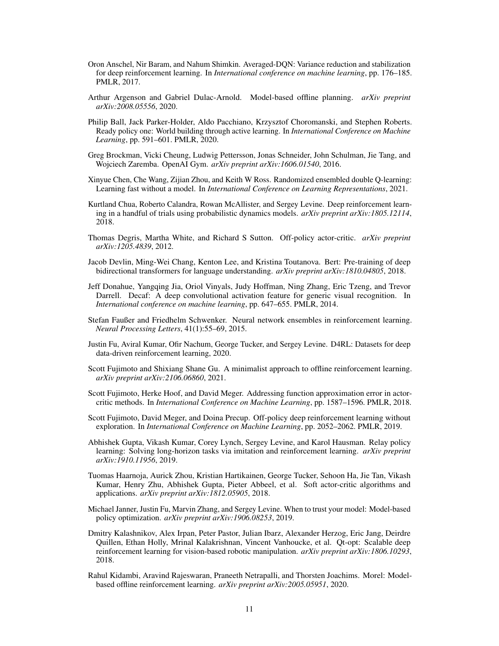- <span id="page-10-14"></span>Oron Anschel, Nir Baram, and Nahum Shimkin. Averaged-DQN: Variance reduction and stabilization for deep reinforcement learning. In *International conference on machine learning*, pp. 176–185. PMLR, 2017.
- <span id="page-10-15"></span>Arthur Argenson and Gabriel Dulac-Arnold. Model-based offline planning. *arXiv preprint arXiv:2008.05556*, 2020.
- <span id="page-10-16"></span>Philip Ball, Jack Parker-Holder, Aldo Pacchiano, Krzysztof Choromanski, and Stephen Roberts. Ready policy one: World building through active learning. In *International Conference on Machine Learning*, pp. 591–601. PMLR, 2020.
- <span id="page-10-18"></span>Greg Brockman, Vicki Cheung, Ludwig Pettersson, Jonas Schneider, John Schulman, Jie Tang, and Wojciech Zaremba. OpenAI Gym. *arXiv preprint arXiv:1606.01540*, 2016.
- <span id="page-10-3"></span>Xinyue Chen, Che Wang, Zijian Zhou, and Keith W Ross. Randomized ensembled double Q-learning: Learning fast without a model. In *International Conference on Learning Representations*, 2021.
- <span id="page-10-12"></span>Kurtland Chua, Roberto Calandra, Rowan McAllister, and Sergey Levine. Deep reinforcement learning in a handful of trials using probabilistic dynamics models. *arXiv preprint arXiv:1805.12114*, 2018.
- <span id="page-10-4"></span>Thomas Degris, Martha White, and Richard S Sutton. Off-policy actor-critic. *arXiv preprint arXiv:1205.4839*, 2012.
- <span id="page-10-8"></span>Jacob Devlin, Ming-Wei Chang, Kenton Lee, and Kristina Toutanova. Bert: Pre-training of deep bidirectional transformers for language understanding. *arXiv preprint arXiv:1810.04805*, 2018.
- <span id="page-10-7"></span>Jeff Donahue, Yangqing Jia, Oriol Vinyals, Judy Hoffman, Ning Zhang, Eric Tzeng, and Trevor Darrell. Decaf: A deep convolutional activation feature for generic visual recognition. In *International conference on machine learning*, pp. 647–655. PMLR, 2014.
- <span id="page-10-11"></span>Stefan Faußer and Friedhelm Schwenker. Neural network ensembles in reinforcement learning. *Neural Processing Letters*, 41(1):55–69, 2015.
- <span id="page-10-17"></span>Justin Fu, Aviral Kumar, Ofir Nachum, George Tucker, and Sergey Levine. D4RL: Datasets for deep data-driven reinforcement learning, 2020.
- <span id="page-10-1"></span>Scott Fujimoto and Shixiang Shane Gu. A minimalist approach to offline reinforcement learning. *arXiv preprint arXiv:2106.06860*, 2021.
- <span id="page-10-2"></span>Scott Fujimoto, Herke Hoof, and David Meger. Addressing function approximation error in actorcritic methods. In *International Conference on Machine Learning*, pp. 1587–1596. PMLR, 2018.
- <span id="page-10-0"></span>Scott Fujimoto, David Meger, and Doina Precup. Off-policy deep reinforcement learning without exploration. In *International Conference on Machine Learning*, pp. 2052–2062. PMLR, 2019.
- <span id="page-10-9"></span>Abhishek Gupta, Vikash Kumar, Corey Lynch, Sergey Levine, and Karol Hausman. Relay policy learning: Solving long-horizon tasks via imitation and reinforcement learning. *arXiv preprint arXiv:1910.11956*, 2019.
- <span id="page-10-5"></span>Tuomas Haarnoja, Aurick Zhou, Kristian Hartikainen, George Tucker, Sehoon Ha, Jie Tan, Vikash Kumar, Henry Zhu, Abhishek Gupta, Pieter Abbeel, et al. Soft actor-critic algorithms and applications. *arXiv preprint arXiv:1812.05905*, 2018.
- <span id="page-10-13"></span>Michael Janner, Justin Fu, Marvin Zhang, and Sergey Levine. When to trust your model: Model-based policy optimization. *arXiv preprint arXiv:1906.08253*, 2019.
- <span id="page-10-10"></span>Dmitry Kalashnikov, Alex Irpan, Peter Pastor, Julian Ibarz, Alexander Herzog, Eric Jang, Deirdre Quillen, Ethan Holly, Mrinal Kalakrishnan, Vincent Vanhoucke, et al. Qt-opt: Scalable deep reinforcement learning for vision-based robotic manipulation. *arXiv preprint arXiv:1806.10293*, 2018.
- <span id="page-10-6"></span>Rahul Kidambi, Aravind Rajeswaran, Praneeth Netrapalli, and Thorsten Joachims. Morel: Modelbased offline reinforcement learning. *arXiv preprint arXiv:2005.05951*, 2020.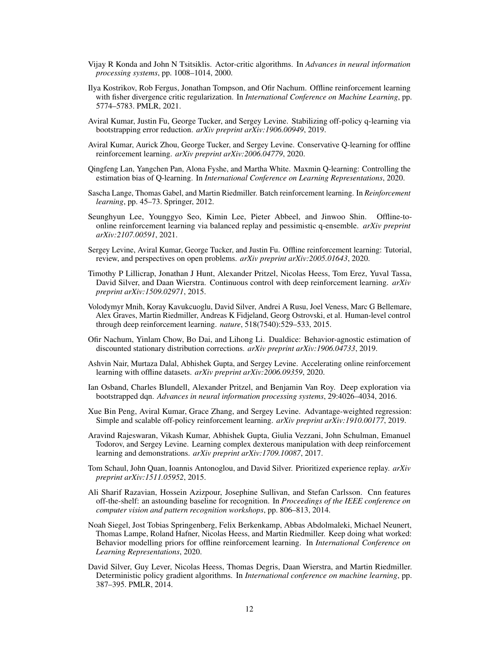- <span id="page-11-9"></span>Vijay R Konda and John N Tsitsiklis. Actor-critic algorithms. In *Advances in neural information processing systems*, pp. 1008–1014, 2000.
- <span id="page-11-1"></span>Ilya Kostrikov, Rob Fergus, Jonathan Tompson, and Ofir Nachum. Offline reinforcement learning with fisher divergence critic regularization. In *International Conference on Machine Learning*, pp. 5774–5783. PMLR, 2021.
- <span id="page-11-5"></span>Aviral Kumar, Justin Fu, George Tucker, and Sergey Levine. Stabilizing off-policy q-learning via bootstrapping error reduction. *arXiv preprint arXiv:1906.00949*, 2019.
- <span id="page-11-0"></span>Aviral Kumar, Aurick Zhou, George Tucker, and Sergey Levine. Conservative Q-learning for offline reinforcement learning. *arXiv preprint arXiv:2006.04779*, 2020.
- <span id="page-11-17"></span>Qingfeng Lan, Yangchen Pan, Alona Fyshe, and Martha White. Maxmin Q-learning: Controlling the estimation bias of Q-learning. In *International Conference on Learning Representations*, 2020.
- <span id="page-11-4"></span>Sascha Lange, Thomas Gabel, and Martin Riedmiller. Batch reinforcement learning. In *Reinforcement learning*, pp. 45–73. Springer, 2012.
- <span id="page-11-15"></span>Seunghyun Lee, Younggyo Seo, Kimin Lee, Pieter Abbeel, and Jinwoo Shin. Offline-toonline reinforcement learning via balanced replay and pessimistic q-ensemble. *arXiv preprint arXiv:2107.00591*, 2021.
- <span id="page-11-7"></span>Sergey Levine, Aviral Kumar, George Tucker, and Justin Fu. Offline reinforcement learning: Tutorial, review, and perspectives on open problems. *arXiv preprint arXiv:2005.01643*, 2020.
- <span id="page-11-11"></span>Timothy P Lillicrap, Jonathan J Hunt, Alexander Pritzel, Nicolas Heess, Tom Erez, Yuval Tassa, David Silver, and Daan Wierstra. Continuous control with deep reinforcement learning. *arXiv preprint arXiv:1509.02971*, 2015.
- <span id="page-11-12"></span>Volodymyr Mnih, Koray Kavukcuoglu, David Silver, Andrei A Rusu, Joel Veness, Marc G Bellemare, Alex Graves, Martin Riedmiller, Andreas K Fidjeland, Georg Ostrovski, et al. Human-level control through deep reinforcement learning. *nature*, 518(7540):529–533, 2015.
- <span id="page-11-6"></span>Ofir Nachum, Yinlam Chow, Bo Dai, and Lihong Li. Dualdice: Behavior-agnostic estimation of discounted stationary distribution corrections. *arXiv preprint arXiv:1906.04733*, 2019.
- <span id="page-11-3"></span>Ashvin Nair, Murtaza Dalal, Abhishek Gupta, and Sergey Levine. Accelerating online reinforcement learning with offline datasets. *arXiv preprint arXiv:2006.09359*, 2020.
- <span id="page-11-16"></span>Ian Osband, Charles Blundell, Alexander Pritzel, and Benjamin Van Roy. Deep exploration via bootstrapped dqn. *Advances in neural information processing systems*, 29:4026–4034, 2016.
- <span id="page-11-8"></span>Xue Bin Peng, Aviral Kumar, Grace Zhang, and Sergey Levine. Advantage-weighted regression: Simple and scalable off-policy reinforcement learning. *arXiv preprint arXiv:1910.00177*, 2019.
- <span id="page-11-14"></span>Aravind Rajeswaran, Vikash Kumar, Abhishek Gupta, Giulia Vezzani, John Schulman, Emanuel Todorov, and Sergey Levine. Learning complex dexterous manipulation with deep reinforcement learning and demonstrations. *arXiv preprint arXiv:1709.10087*, 2017.
- <span id="page-11-18"></span>Tom Schaul, John Quan, Ioannis Antonoglou, and David Silver. Prioritized experience replay. *arXiv preprint arXiv:1511.05952*, 2015.
- <span id="page-11-13"></span>Ali Sharif Razavian, Hossein Azizpour, Josephine Sullivan, and Stefan Carlsson. Cnn features off-the-shelf: an astounding baseline for recognition. In *Proceedings of the IEEE conference on computer vision and pattern recognition workshops*, pp. 806–813, 2014.
- <span id="page-11-2"></span>Noah Siegel, Jost Tobias Springenberg, Felix Berkenkamp, Abbas Abdolmaleki, Michael Neunert, Thomas Lampe, Roland Hafner, Nicolas Heess, and Martin Riedmiller. Keep doing what worked: Behavior modelling priors for offline reinforcement learning. In *International Conference on Learning Representations*, 2020.
- <span id="page-11-10"></span>David Silver, Guy Lever, Nicolas Heess, Thomas Degris, Daan Wierstra, and Martin Riedmiller. Deterministic policy gradient algorithms. In *International conference on machine learning*, pp. 387–395. PMLR, 2014.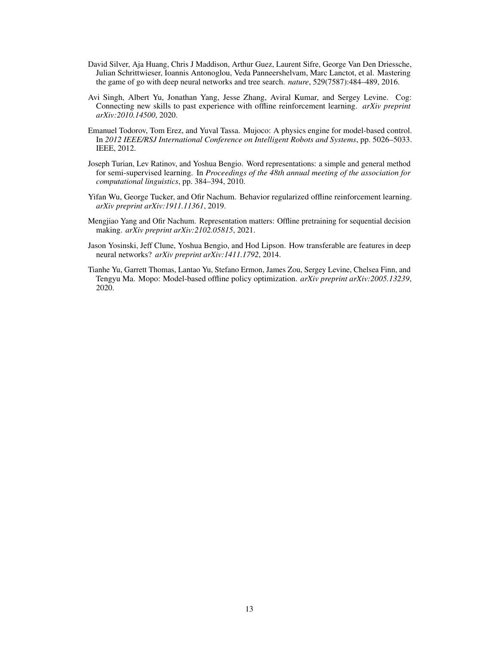- <span id="page-12-5"></span>David Silver, Aja Huang, Chris J Maddison, Arthur Guez, Laurent Sifre, George Van Den Driessche, Julian Schrittwieser, Ioannis Antonoglou, Veda Panneershelvam, Marc Lanctot, et al. Mastering the game of go with deep neural networks and tree search. *nature*, 529(7587):484–489, 2016.
- <span id="page-12-0"></span>Avi Singh, Albert Yu, Jonathan Yang, Jesse Zhang, Aviral Kumar, and Sergey Levine. Cog: Connecting new skills to past experience with offline reinforcement learning. *arXiv preprint arXiv:2010.14500*, 2020.
- <span id="page-12-7"></span>Emanuel Todorov, Tom Erez, and Yuval Tassa. Mujoco: A physics engine for model-based control. In *2012 IEEE/RSJ International Conference on Intelligent Robots and Systems*, pp. 5026–5033. IEEE, 2012.
- <span id="page-12-4"></span>Joseph Turian, Lev Ratinov, and Yoshua Bengio. Word representations: a simple and general method for semi-supervised learning. In *Proceedings of the 48th annual meeting of the association for computational linguistics*, pp. 384–394, 2010.
- <span id="page-12-1"></span>Yifan Wu, George Tucker, and Ofir Nachum. Behavior regularized offline reinforcement learning. *arXiv preprint arXiv:1911.11361*, 2019.
- <span id="page-12-6"></span>Mengjiao Yang and Ofir Nachum. Representation matters: Offline pretraining for sequential decision making. *arXiv preprint arXiv:2102.05815*, 2021.
- <span id="page-12-3"></span>Jason Yosinski, Jeff Clune, Yoshua Bengio, and Hod Lipson. How transferable are features in deep neural networks? *arXiv preprint arXiv:1411.1792*, 2014.
- <span id="page-12-2"></span>Tianhe Yu, Garrett Thomas, Lantao Yu, Stefano Ermon, James Zou, Sergey Levine, Chelsea Finn, and Tengyu Ma. Mopo: Model-based offline policy optimization. *arXiv preprint arXiv:2005.13239*, 2020.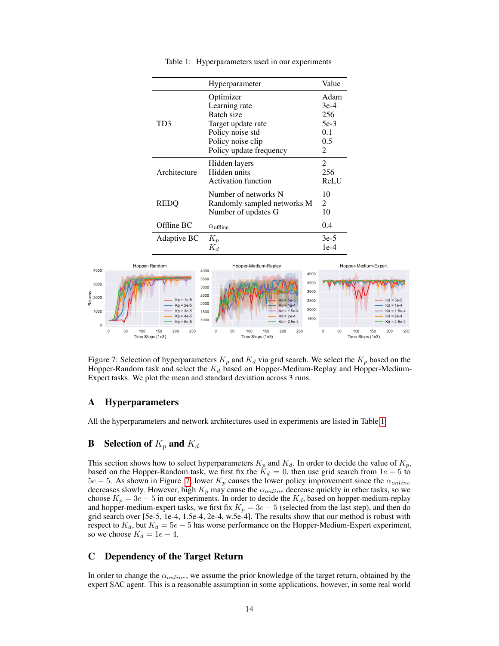<span id="page-13-0"></span>

|              | Hyperparameter              | Value          |
|--------------|-----------------------------|----------------|
| TD3          | Optimizer                   | Adam           |
|              | Learning rate               | $3e-4$         |
|              | Batch size                  | 256            |
|              | Target update rate          | $5e-3$         |
|              | Policy noise std            | 0.1            |
|              | Policy noise clip           | 0.5            |
|              | Policy update frequency     | 2              |
| Architecture | Hidden layers               | 2              |
|              | Hidden units                | 256            |
|              | <b>Activation function</b>  | ReLU           |
| REDO         | Number of networks N        | 10             |
|              | Randomly sampled networks M | $\mathfrak{D}$ |
|              | Number of updates G         | 10             |
| Offline BC   | $\alpha$ <sub>offline</sub> | 0.4            |
| Adaptive BC  | $K_p$                       | $3e-5$         |
|              | $K_d$                       | 1e-4           |

Table 1: Hyperparameters used in our experiments



<span id="page-13-1"></span>Figure 7: Selection of hyperparameters  $K_p$  and  $K_d$  via grid search. We select the  $K_p$  based on the Hopper-Random task and select the  $K_d$  based on Hopper-Medium-Replay and Hopper-Medium-Expert tasks. We plot the mean and standard deviation across 3 runs.

# A Hyperparameters

All the hyperparameters and network architectures used in experiments are listed in Table [1.](#page-13-0)

# **B** Selection of  $K_p$  and  $K_d$

This section shows how to select hyperparameters  $K_p$  and  $K_d$ . In order to decide the value of  $K_p$ , based on the Hopper-Random task, we first fix the  $K_d = 0$ , then use grid search from  $1e - 5$  to 5e − 5. As shown in Figure [7,](#page-13-1) lower  $K_p$  causes the lower policy improvement since the  $\alpha_{online}$ decreases slowly. However, high  $K_p$  may cause the  $\alpha_{online}$  decrease quickly in other tasks, so we choose  $K_p = 3e - 5$  in our experiments. In order to decide the  $K_d$ , based on hopper-medium-replay and hopper-medium-expert tasks, we first fix  $K_p = 3e - 5$  (selected from the last step), and then do grid search over [5e-5, 1e-4, 1.5e-4, 2e-4, w.5e-4]. The results show that our method is robust with respect to  $K_d$ , but  $K_d = 5e - 5$  has worse performance on the Hopper-Medium-Expert experiment, so we choose  $K_d = 1e - 4$ .

# C Dependency of the Target Return

In order to change the  $\alpha_{online}$ , we assume the prior knowledge of the target return, obtained by the expert SAC agent. This is a reasonable assumption in some applications, however, in some real world